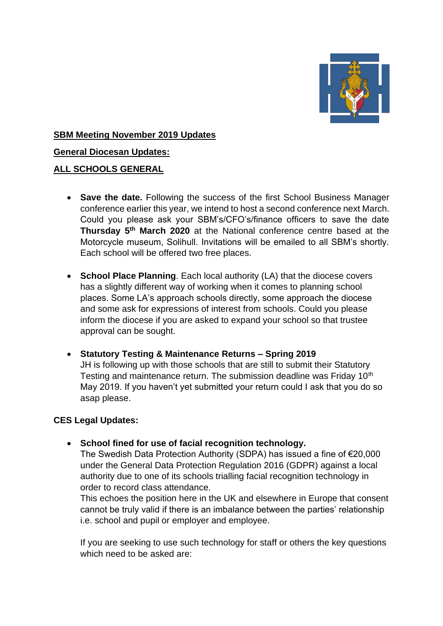

#### **SBM Meeting November 2019 Updates**

#### **General Diocesan Updates:**

#### **ALL SCHOOLS GENERAL**

- **Save the date.** Following the success of the first School Business Manager conference earlier this year, we intend to host a second conference next March. Could you please ask your SBM's/CFO's/finance officers to save the date **Thursday 5th March 2020** at the National conference centre based at the Motorcycle museum, Solihull. Invitations will be emailed to all SBM's shortly. Each school will be offered two free places.
- **School Place Planning**. Each local authority (LA) that the diocese covers has a slightly different way of working when it comes to planning school places. Some LA's approach schools directly, some approach the diocese and some ask for expressions of interest from schools. Could you please inform the diocese if you are asked to expand your school so that trustee approval can be sought.

## • **Statutory Testing & Maintenance Returns – Spring 2019**

JH is following up with those schools that are still to submit their Statutory Testing and maintenance return. The submission deadline was Friday 10<sup>th</sup> May 2019. If you haven't yet submitted your return could I ask that you do so asap please.

## **CES Legal Updates:**

• **School fined for use of facial recognition technology.** 

The Swedish Data Protection Authority (SDPA) has issued a fine of €20,000 under the General Data Protection Regulation 2016 (GDPR) against a local authority due to one of its schools trialling facial recognition technology in order to record class attendance.

This echoes the position here in the UK and elsewhere in Europe that consent cannot be truly valid if there is an imbalance between the parties' relationship i.e. school and pupil or employer and employee.

If you are seeking to use such technology for staff or others the key questions which need to be asked are: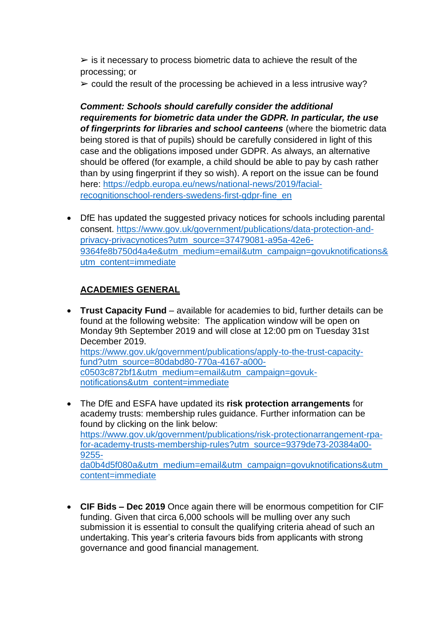$\geq$  is it necessary to process biometric data to achieve the result of the processing; or

 $\geq$  could the result of the processing be achieved in a less intrusive way?

*Comment: Schools should carefully consider the additional requirements for biometric data under the GDPR. In particular, the use of fingerprints for libraries and school canteens* (where the biometric data being stored is that of pupils) should be carefully considered in light of this case and the obligations imposed under GDPR. As always, an alternative should be offered (for example, a child should be able to pay by cash rather than by using fingerprint if they so wish). A report on the issue can be found here: [https://edpb.europa.eu/news/national-news/2019/facial](https://edpb.europa.eu/news/national-news/2019/facial-recognitionschool-renders-swedens-first-gdpr-fine_en)[recognitionschool-renders-swedens-first-gdpr-fine\\_en](https://edpb.europa.eu/news/national-news/2019/facial-recognitionschool-renders-swedens-first-gdpr-fine_en)

• DfE has updated the suggested privacy notices for schools including parental consent. [https://www.gov.uk/government/publications/data-protection-and](https://www.gov.uk/government/publications/data-protection-and-privacy-privacynotices?utm_source=37479081-a95a-42e6-9364fe8b750d4a4e&utm_medium=email&utm_campaign=govuknotifications&utm_content=immediate)[privacy-privacynotices?utm\\_source=37479081-a95a-42e6-](https://www.gov.uk/government/publications/data-protection-and-privacy-privacynotices?utm_source=37479081-a95a-42e6-9364fe8b750d4a4e&utm_medium=email&utm_campaign=govuknotifications&utm_content=immediate) [9364fe8b750d4a4e&utm\\_medium=email&utm\\_campaign=govuknotifications&](https://www.gov.uk/government/publications/data-protection-and-privacy-privacynotices?utm_source=37479081-a95a-42e6-9364fe8b750d4a4e&utm_medium=email&utm_campaign=govuknotifications&utm_content=immediate) [utm\\_content=immediate](https://www.gov.uk/government/publications/data-protection-and-privacy-privacynotices?utm_source=37479081-a95a-42e6-9364fe8b750d4a4e&utm_medium=email&utm_campaign=govuknotifications&utm_content=immediate)

# **ACADEMIES GENERAL**

- **Trust Capacity Fund** available for academies to bid, further details can be found at the following website: The application window will be open on Monday 9th September 2019 and will close at 12:00 pm on Tuesday 31st December 2019. [https://www.gov.uk/government/publications/apply-to-the-trust-capacity](https://www.gov.uk/government/publications/apply-to-the-trust-capacity-fund?utm_source=80dabd80-770a-4167-a000-c0503c872bf1&utm_medium=email&utm_campaign=govuk-notifications&utm_content=immediate)[fund?utm\\_source=80dabd80-770a-4167-a000](https://www.gov.uk/government/publications/apply-to-the-trust-capacity-fund?utm_source=80dabd80-770a-4167-a000-c0503c872bf1&utm_medium=email&utm_campaign=govuk-notifications&utm_content=immediate) [c0503c872bf1&utm\\_medium=email&utm\\_campaign=govuk](https://www.gov.uk/government/publications/apply-to-the-trust-capacity-fund?utm_source=80dabd80-770a-4167-a000-c0503c872bf1&utm_medium=email&utm_campaign=govuk-notifications&utm_content=immediate)[notifications&utm\\_content=immediate](https://www.gov.uk/government/publications/apply-to-the-trust-capacity-fund?utm_source=80dabd80-770a-4167-a000-c0503c872bf1&utm_medium=email&utm_campaign=govuk-notifications&utm_content=immediate)
- The DfE and ESFA have updated its **risk protection arrangements** for academy trusts: membership rules guidance. Further information can be found by clicking on the link below: [https://www.gov.uk/government/publications/risk-protectionarrangement-rpa](https://www.gov.uk/government/publications/risk-protectionarrangement-rpa-for-academy-trusts-membership-rules?utm_source=9379de73-20384a00-9255-da0b4d5f080a&utm_medium=email&utm_campaign=govuknotifications&utm_content=immediate)[for-academy-trusts-membership-rules?utm\\_source=9379de73-20384a00-](https://www.gov.uk/government/publications/risk-protectionarrangement-rpa-for-academy-trusts-membership-rules?utm_source=9379de73-20384a00-9255-da0b4d5f080a&utm_medium=email&utm_campaign=govuknotifications&utm_content=immediate) [9255](https://www.gov.uk/government/publications/risk-protectionarrangement-rpa-for-academy-trusts-membership-rules?utm_source=9379de73-20384a00-9255-da0b4d5f080a&utm_medium=email&utm_campaign=govuknotifications&utm_content=immediate) [da0b4d5f080a&utm\\_medium=email&utm\\_campaign=govuknotifications&utm\\_](https://www.gov.uk/government/publications/risk-protectionarrangement-rpa-for-academy-trusts-membership-rules?utm_source=9379de73-20384a00-9255-da0b4d5f080a&utm_medium=email&utm_campaign=govuknotifications&utm_content=immediate) [content=immediate](https://www.gov.uk/government/publications/risk-protectionarrangement-rpa-for-academy-trusts-membership-rules?utm_source=9379de73-20384a00-9255-da0b4d5f080a&utm_medium=email&utm_campaign=govuknotifications&utm_content=immediate)
- **CIF Bids – Dec 2019** Once again there will be enormous competition for CIF funding. Given that circa 6,000 schools will be mulling over any such submission it is essential to consult the qualifying criteria ahead of such an undertaking. This year's criteria favours bids from applicants with strong governance and good financial management.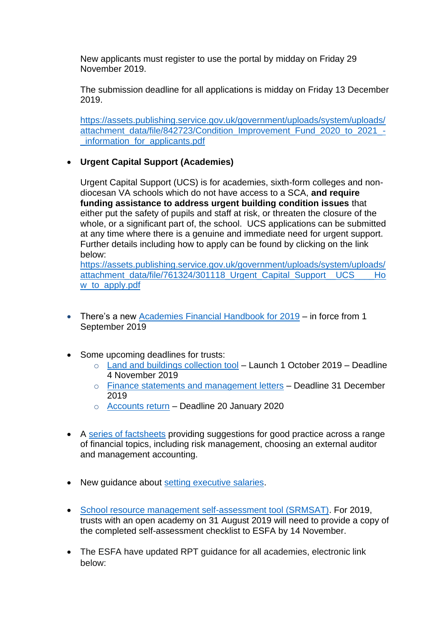New applicants must register to use the portal by midday on Friday 29 November 2019.

The submission deadline for all applications is midday on Friday 13 December 2019.

[https://assets.publishing.service.gov.uk/government/uploads/system/uploads/](https://assets.publishing.service.gov.uk/government/uploads/system/uploads/attachment_data/file/842723/Condition_Improvement_Fund_2020_to_2021_-_information_for_applicants.pdf) [attachment\\_data/file/842723/Condition\\_Improvement\\_Fund\\_2020\\_to\\_2021\\_-](https://assets.publishing.service.gov.uk/government/uploads/system/uploads/attachment_data/file/842723/Condition_Improvement_Fund_2020_to_2021_-_information_for_applicants.pdf) [\\_information\\_for\\_applicants.pdf](https://assets.publishing.service.gov.uk/government/uploads/system/uploads/attachment_data/file/842723/Condition_Improvement_Fund_2020_to_2021_-_information_for_applicants.pdf)

## • **Urgent Capital Support (Academies)**

Urgent Capital Support (UCS) is for academies, sixth-form colleges and nondiocesan VA schools which do not have access to a SCA, **and require funding assistance to address urgent building condition issues** that either put the safety of pupils and staff at risk, or threaten the closure of the whole, or a significant part of, the school. UCS applications can be submitted at any time where there is a genuine and immediate need for urgent support. Further details including how to apply can be found by clicking on the link below:

[https://assets.publishing.service.gov.uk/government/uploads/system/uploads/](https://assets.publishing.service.gov.uk/government/uploads/system/uploads/attachment_data/file/761324/301118_Urgent_Capital_Support__UCS____How_to_apply.pdf) attachment\_data/file/761324/301118\_Urgent\_Capital\_Support\_UCS\_\_\_\_Ho w to apply.pdf

- There's a new [Academies Financial Handbook for 2019](https://www.gov.uk/guidance/academies-financial-handbook) in force from 1 September 2019
- Some upcoming deadlines for trusts:
	- o [Land and buildings collection tool](https://www.gov.uk/guidance/academies-financial-returns#submit-your-land-and-buildings-collection-tool) Launch 1 October 2019 Deadline 4 November 2019
	- o [Finance statements and management letters](https://www.gov.uk/guidance/academies-financial-returns#submit-your-financial-statements) Deadline 31 December 2019
	- o [Accounts return](https://www.gov.uk/guidance/academies-financial-returns#submit-your-accounts-return) Deadline 20 January 2020
- A [series of factsheets](https://www.gov.uk/government/publications/academy-trust-financial-management-good-practice-guides?utm_source=AOletter%20July%202019) providing suggestions for good practice across a range of financial topics, including risk management, choosing an external auditor and management accounting.
- New guidance about [setting executive salaries.](https://www.gov.uk/government/publications/setting-executive-salaries-guidance-for-academy-trusts?utm_source=AOletter%20July%202019)
- [School resource management self-assessment tool \(SRMSAT\).](https://www.gov.uk/government/publications/school-resource-management-self-assessment-tool) For 2019, trusts with an open academy on 31 August 2019 will need to provide a copy of the completed self-assessment checklist to ESFA by 14 November.
- The ESFA have updated RPT guidance for all academies, electronic link below: